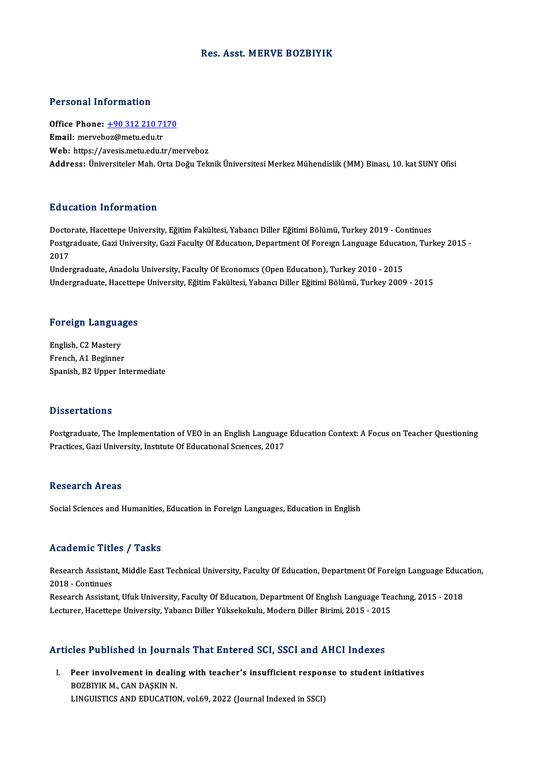### Res. Asst.MERVE BOZBIYIK

### Personal Information

Personal Information<br>Office Phone: <u>+90 312 210 7170</u><br>Email: meryeber@mety.edu.tr Procession information<br>Office Phone: <u>+90 312 210 71</u><br>Email: merveb[oz@metu.edu.tr](tel:+90 312 210 7170) Email: merveboz@metu.edu.tr<br>Web: https://avesis.metu.edu.tr/merveboz Address: Üniversiteler Mah, Orta Doğu Teknik Üniversitesi Merkez Mühendislik (MM) Binası, 10. kat SUNY Ofisi

### Education Information

**Education Information<br>Doctorate, Hacettepe University, Eğitim Fakültesi, Yabancı Diller Eğitimi Bölümü, Turkey 2019 - Continues<br>Bostaraduata Cari University, Cari Faculty Of Education, Department Of Fereyn Language Educat** Pu u cutron-ninon inutron<br>Doctorate, Hacettepe University, Eğitim Fakültesi, Yabancı Diller Eğitimi Bölümü, Turkey 2019 - Continues<br>Postgraduate, Gazi University, Gazi Faculty Of Educatıon, Department Of Foreıgn Language E Docto<br>Postgi<br>2017<br>Under Postgraduate, Gazi University, Gazi Faculty Of Education, Department Of Foreign Language Educati<br>2017<br>Undergraduate, Anadolu University, Faculty Of Economics (Open Education), Turkey 2010 - 2015<br>Undergraduate, Hasettene Un

2017<br>Undergraduate, Anadolu University, Faculty Of Economics (Open Education), Turkey 2010 - 2015<br>Undergraduate, Hacettepe University, Eğitim Fakültesi, Yabancı Diller Eğitimi Bölümü, Turkey 2009 - 2015

# <sub>ondergraduate, Hacettep</sub><br>Foreign Languages

Foreign Langua<br>English, C2 Mastery<br>Enangh A1 Baginner English, C2 Mastery<br>French, A1 Beginner Spanish, B2 Upper Intermediate

#### **Dissertations**

Postgraduate, The Implementation of VEO in an English Language Education Context: A Focus on Teacher Questioning Practices, Gazi University, Institute Of Educational Sciences, 2017

### Research Areas

Social Sciences and Humanities, Education in Foreign Languages, Education in English

### Academic Titles / Tasks

Academic Titles / Tasks<br>Research Assistant, Middle East Technical University, Faculty Of Education, Department Of Foreign Language Education,<br>2018 - Continues Execution Press<br>Research Assistan<br>2018 - Continues<br>Research Assistan Research Assistant, Middle East Technical University, Faculty Of Education, Department Of Foreign Language Educa<br>2018 - Continues<br>Research Assistant, Ufuk University, Faculty Of Education, Department Of English Language Te

2018 - Continues<br>Research Assistant, Ufuk University, Faculty Of Education, Department Of English Language Teaching, 2015 - 2018<br>Lecturer, Hacettepe University, Yabancı Diller Yüksekokulu, Modern Diller Birimi, 2015 - 2015

### Articles Published in Journals That Entered SCI, SSCI and AHCI Indexes

The Published in Journals That Entered SCI, SSCI and AHCI Indexes<br>I. Peer involvement in dealing with teacher's insufficient response to student initiatives<br>ROZPIVIK M. CAN DASKIN N Box Published in Journal<br>BozBIYIK M., CAN DAŞKIN N.<br>LINGUISTICS AND EDUCATION Peer involvement in dealing with teacher's insufficient respon<br>BOZBIYIK M., CAN DAŞKIN N.<br>LINGUISTICS AND EDUCATION, vol.69, 2022 (Journal Indexed in SSCI)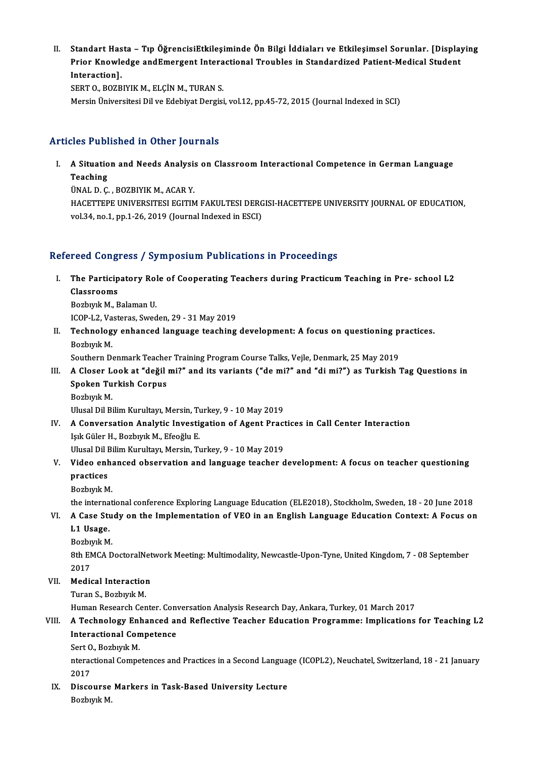II.<br>II. Standart Hasta – Tıp ÖğrencisiEtkileşiminde Ön Bilgi İddiaları ve Etkileşimsel Sorunlar. [Displaying<br>Ruiar Knowledge andEmergent International Troubles in Standardized Patient Medical Student Standart Hasta – Tıp ÖğrencisiEtkileşiminde Ön Bilgi İddiaları ve Etkileşimsel Sorunlar. [Displa]<br>Prior Knowledge andEmergent Interactional Troubles in Standardized Patient-Medical Student **Standart Has<br>Prior Knowle<br>Interaction].**<br>SERT O, ROZB Prior Knowledge andEmergent Interactional Troubles in Standardized Patient-Medical Student<br>Interaction].<br>SERT 0., BOZBIYIK M., ELÇİN M., TURAN S.

Mersin Üniversitesi Dilve Edebiyat Dergisi, vol.12, pp.45-72, 2015 (Journal Indexed in SCI)

### Articles Published in Other Journals

rticles Published in Other Journals<br>I. A Situation and Needs Analysis on Classroom Interactional Competence in German Language<br>Teaching A Situatio<br>Teaching<br>That D C Teaching<br>ÜNAL D. Ç. , BOZBIYIK M., ACAR Y.

Teaching<br>ÜNAL D. Ç. , BOZBIYIK M., ACAR Y.<br>HACETTEPE UNIVERSITESI EGITIM FAKULTESI DERGISI-HACETTEPE UNIVERSITY JOURNAL OF EDUCATION,<br>VR. 34, DR 1, DR 1, 36, 3019 (Journal Indoved in ESC). ÜNAL D. Ç. , BOZBIYIK M., ACAR Y.<br>HACETTEPE UNIVERSITESI EGITIM FAKULTESI DERG<br>vol.34, no.1, pp.1-26, 2019 (Journal Indexed in ESCI)

# vol.34, no.1, pp.1-26, 2019 (Journal Indexed in ESCI)<br>Refereed Congress / Symposium Publications in Proceedings

efereed Congress / Symposium Publications in Proceedings<br>I. The Participatory Role of Cooperating Teachers during Practicum Teaching in Pre- school L2<br>Classrooms Tood Gong.<br>The Particip<br>Classrooms<br>Perburk M. E The Participatory Rol<br>Classrooms<br>Bozbıyık M., Balaman U.<br>ICOB L2 Vesteres Sued Classrooms<br>Bozbıyık M., Balaman U.<br>ICOP-L2, Vasteras, Sweden, 29 - 31 May 2019

Bozbıyık M., Balaman U.<br>ICOP-L2, Vasteras, Sweden, 29 - 31 May 2019<br>II. Technology enhanced language teaching development: A focus on questioning practices.<br>Regbynk M ICOP-L2, Va<br>Technolog<br>Bozbıyık M.<br>Soutbern D. Technology enhanced language teaching development: A focus on questioning p<br>Bozbıyık M.<br>Southern Denmark Teacher Training Program Course Talks, Vejle, Denmark, 25 May 2019<br>A Glasar Look at "doğil mi?" and its variants ("do Bozbıyık M.<br>III. A Closer Look at "değil mi?" and its variants ("de mi?" and "di mi?") as Turkish Tag Questions in II. A Closer Look at "değil mi?" and its variants ("de mi?" and "di mi?") as Turkish Tag Questions in

Southern Denmark Teacher Training Program Course Talks, Vejle, Denmark, 25 May 2019<br>A Closer Look at "değil mi?" and its variants ("de mi?" and "di mi?") as Turkish<br>Spoken Turkish Corpus<br>Bozbıyık M. Spoken Turkish Corpus

Ulusal Dil Bilim Kurultayı, Mersin, Turkey, 9 - 10 May 2019

Bozbiyik M.<br>Ulusal Dil Bilim Kurultayı, Mersin, Turkey, 9 - 10 May 2019<br>IV. A Conversation Analytic Investigation of Agent Practices in Call Center Interaction Işık Güler H., Bozbıyık M., Efeoğlu E.<br>Ulusal Dil Bilim Kurultayı, Mersin, Turkey, 9 - 10 May 2019 A Conversation Analytic Investigation of Agent Pract<br>Işık Güler H., Bozbıyık M., Efeoğlu E.<br>Ulusal Dil Bilim Kurultayı, Mersin, Turkey, 9 - 10 May 2019<br>Widee enhaneed absoruation and language teoshor d Işık Güler H., Bozbıyık M., Efeoğlu E.<br>Ulusal Dil Bilim Kurultayı, Mersin, Turkey, 9 - 10 May 2019<br>V. Video enhanced observation and language teacher development: A focus on teacher questioning<br>nnastices.

## Ulusal Dil I<br>Video enl<br>practices<br><sup>Porbunk M</sub></sup> Video enha<br>practices<br>Bozbıyık M.<br>the internat practices<br>Bozbıyık M.<br>the international conference Exploring Language Education (ELE2018), Stockholm, Sweden, 18 - 20 June 2018<br>A Gase Study en the Implementation of VEO in an English Language Education Centext: A Focus en

- Bozbiyik M.<br>the international conference Exploring Language Education (ELE2018), Stockholm, Sweden, 18 20 June 2018<br>VI. A Case Study on the Implementation of VEO in an English Language Education Context: A Focus on<br>L1 the interna<br>A Case Stu<br>L1 Usage.<br><sup>Rozbuuk M</sub></sup> VI. A Case Study on the Implementation of VEO in an English Language Education Context: A Focus on L1 Usage.<br>Bozbıyık M.
	-

L1 Usage.<br>Bozbıyık M.<br>8th EMCA DoctoralNetwork Meeting: Multimodality, Newcastle-Upon-Tyne, United Kingdom, 7 - 08 September<br>2017 Bozbi<br>8th EN<br>2017<br>Modic

## 2017<br>VII. Medical Interaction

Turan S., Bozbıyık M.

Human Research Center. Conversation Analysis Research Day, Ankara, Turkey, 01 March 2017

### VIII. A Technology Enhanced and Reflective Teacher Education Programme: Implications for Teaching L2 Human Research Center. Conv<br>A Technology Enhanced an<br>Interactional Competence<br>Sert O. Begbyyk M A Technology Enl<br>Interactional Con<br>Sert O., Bozbıyık M.<br>nteractional Compo

Sert O, Bozbiyik M.

nteractional Competences and Practices in a Second Language (ICOPL2), Neuchatel, Switzerland, 18 - 21 January<br>2017 nteractional Competences and Practices in a Second Languay<br>2017<br>IX. Discourse Markers in Task-Based University Lecture<br>Borbuak M

2017<br><mark>Discourse</mark><br>Bozbıyık M.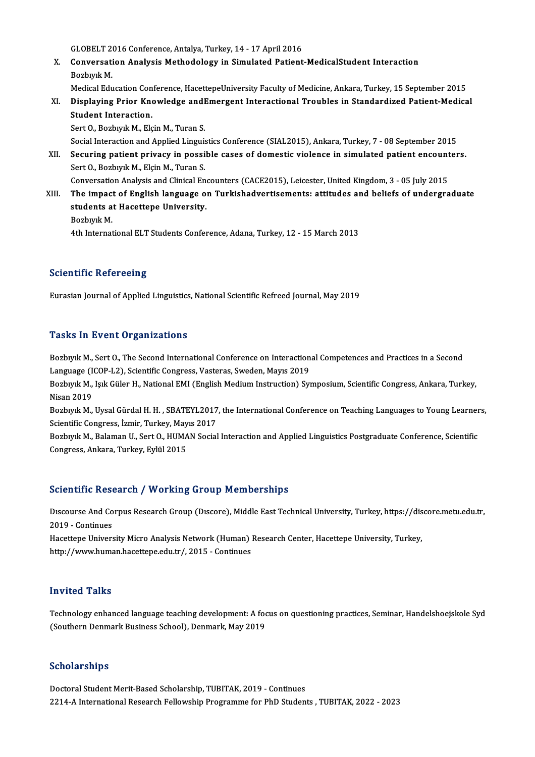GLOBELT 2016 Conference, Antalya, Turkey, 14 - 17 April 2016<br>Convergetion Anglysis Methodology in Simulated Betient

- X. Conversation Analysis Methodology in Simulated Patient-MedicalStudent Interaction<br>Bozbivik M. GLOBELT 2<br>Conversati<br>Bozbıyık M.<br>Medical Edu Conversation Analysis Methodology in Simulated Patient-MedicalStudent Interaction<br>Bozbıyık M.<br>Medical Education Conference, HacettepeUniversity Faculty of Medicine, Ankara, Turkey, 15 September 2015<br>Displaying Prior Knowle
	-
- Bozbıyık M.<br>Medical Education Conference, HacettepeUniversity Faculty of Medicine, Ankara, Turkey, 15 September 2015<br>XI. Displaying Prior Knowledge andEmergent Interactional Troubles in Standardized Patient-Medical<br>Stu Medical Education Con<br>Displaying Prior Kne<br>Student Interaction.<br>Sert O. Berburk M. Fle Displaying Prior Knowledge and<br>Student Interaction.<br>Sert O., Bozbıyık M., Elçin M., Turan S.<br>Secial Interaction and Annlied Linguis Student Interaction.<br>Sert O., Bozbıyık M., Elçin M., Turan S.<br>Social Interaction and Applied Linguistics Conference (SIAL2015), Ankara, Turkey, 7 - 08 September 2015

Sert O., Bozbıyık M., Elçin M., Turan S.<br>Social Interaction and Applied Linguistics Conference (SIAL2015), Ankara, Turkey, 7 - 08 September 2015<br>XII. Securing patient privacy in possible cases of domestic violence in simul Sert O., Bozbıyık M., Elçin M., Turan S. Securing patient privacy in possible cases of domestic violence in simulated patient encount<br>Sert 0., Bozbıyık M., Elçin M., Turan S.<br>Conversation Analysis and Clinical Encounters (CACE2015), Leicester, United Kingdom, 3 -

- Conversation Analysis and Clinical Encounters (CACE2015), Leicester, United Kingdom, 3 05 July 2015<br>XIII. The impact of English language on Turkishadvertisements: attitudes and beliefs of undergraduate students at Hacettepe University.
	- BozbıyıkM.

4th International ELT Students Conference, Adana, Turkey, 12 - 15 March 2013

### **Scientific Refereeing**

Eurasian Journal of Applied Linguistics, National Scientific Refreed Journal, May 2019

### **Tasks In Event Organizations**

Tasks In Event Organizations<br>Bozbıyık M., Sert O., The Second International Conference on Interactional Competences and Practices in a Second<br>Language (ICOR L2), Scientific Congress Vesteres, Sueden, Mayıs 2019 Passis Pir 20 site of gammations<br>Bozbiyik M., Sert O., The Second International Conference on Interaction<br>Language (ICOP-L2), Scientific Congress, Vasteras, Sweden, Mayıs 2019<br>Bozbiyik M. Jaik Cülar H. National EMI (Englis Bozbıyık M., Sert O., The Second International Conference on Interactional Competences and Practices in a Second<br>Language (ICOP-L2), Scientific Congress, Vasteras, Sweden, Mayıs 2019<br>Bozbıyık M., Işık Güler H., National EM

Language (I<br>Bozbiyik M.,<br>Nisan 2019<br>Bogbuuk M Bozbıyık M., Işık Güler H., National EMI (English Medium Instruction) Symposium, Scientific Congress, Ankara, Turkey,<br>Nisan 2019<br>Bozbıyık M., Uysal Gürdal H. H. , SBATEYL2017, the International Conference on Teaching Langu

Nisan 2019<br>Bozbıyık M., Uysal Gürdal H. H. , SBATEYL2017<br>Scientific Congress, İzmir, Turkey, Mayıs 2017<br>Borburl: M. Balaman U. Sert O. HUMAN Social Bozbıyık M., Uysal Gürdal H. H. , SBATEYL2017, the International Conference on Teaching Languages to Young Learner<br>Scientific Congress, İzmir, Turkey, Mayıs 2017<br>Bozbıyık M., Balaman U., Sert O., HUMAN Social Interaction a

Scientific Congress, İzmir, Turkey, May<br>Bozbıyık M., Balaman U., Sert O., HUMA<br>Congress, Ankara, Turkey, Eylül 2015

## Congress, Ankara, Turkey, Eylül 2015<br>Scientific Research / Working Group Memberships

Discourse And Corpus Research Group (Discore), Middle East Technical University, Turkey, https://discore.metu.edu.tr, 2019 -Continues Discourse And Corpus Research Group (Discore), Middle East Technical University, Turkey, https://dis<br>2019 - Continues<br>Hacettepe University Micro Analysis Network (Human) Research Center, Hacettepe University, Turkey,<br>http:

2019 - Continues<br>Hacettepe University Micro Analysis Network (Human) |<br>http://www.human.hacettepe.edu.tr/, 2015 - Continues http://www.human.hacettepe.edu.tr/, 2015 - Continues<br>Invited Talks

Invited Talks<br>Technology enhanced language teaching development: A focus on questioning practices, Seminar, Handelshoejskole Syd<br>(Southern Denmark Business School), Denmark May 2019 111V1004-1 anno<br>Technology enhanced language teaching development: A foo<br>(Southern Denmark Business School), Denmark, May 2019 (Southern Denmark Business School), Denmark, May 2019<br>Scholarships

Doctoral Student Merit-Based Scholarship, TUBITAK, 2019 - Continues 2214-A International Research Fellowship Programme for PhD Students , TUBITAK, 2022 - 2023